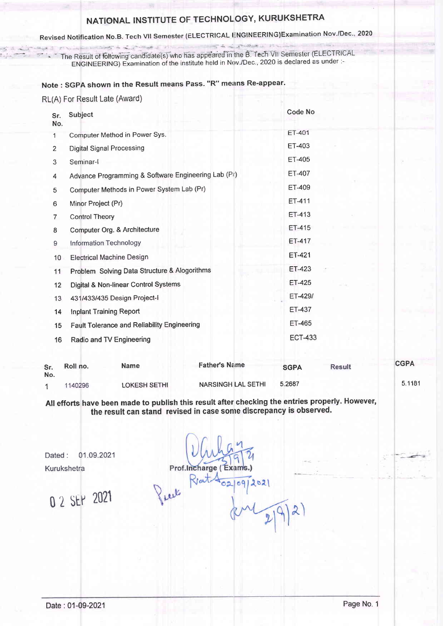# NATIONAL INSTITUTE OF TECHNOLOGY, KURUKSHETRA

## Revised Notification No.B. Tech VII Semester (ELECTRICAL ENGINEERING)Examination Nov./Dec., 2020

The Result of following candidate(s) who has appeared in the B. Tech VII Semester (ELECTRICAL ENGINEERING) Examination of the institute held in Nov./Dec., 2020 is declared as under :-

#### Note: SGPA shown in the Result means Pass. "R" means Re-appear.

RL(A) For Result Late (Award)

| Sr.<br>No.     | Subject                                                                              |                                                     |                           | Code No        |               |  |
|----------------|--------------------------------------------------------------------------------------|-----------------------------------------------------|---------------------------|----------------|---------------|--|
| 1              |                                                                                      | Computer Method in Power Sys.                       |                           | <b>ET-401</b>  |               |  |
| 2              |                                                                                      | <b>Digital Signal Processing</b>                    |                           | ET-403         |               |  |
| 3              | Seminar-I                                                                            |                                                     |                           | ET-405         |               |  |
| 4              |                                                                                      | Advance Programming & Software Engineering Lab (Pr) |                           | ET-407         |               |  |
| 5              |                                                                                      | Computer Methods in Power System Lab (Pr)           |                           | ET-409         |               |  |
| 6              | Minor Project (Pr)                                                                   |                                                     |                           | ET-411         |               |  |
| $\overline{7}$ | <b>Control Theory</b>                                                                |                                                     |                           | <b>ET-413</b>  |               |  |
| $\bf8$         | Computer Org. & Architecture                                                         |                                                     |                           | ET-415         |               |  |
| 9              | Information Technology                                                               |                                                     |                           | ET-417         |               |  |
| 10             |                                                                                      | <b>Electrical Machine Design</b>                    |                           | ET-421         |               |  |
| 11             | Problem Solving Data Structure & Alogorithms<br>Digital & Non-linear Control Systems |                                                     |                           | ET-423         |               |  |
| 12             |                                                                                      |                                                     |                           | ET-425         |               |  |
| 13             | 431/433/435 Design Project-I                                                         |                                                     |                           | ET-429/        |               |  |
| 14             | <b>Inplant Training Report</b>                                                       |                                                     |                           | ET-437         |               |  |
| 15             | <b>Fault Tolerance and Reliability Engineering</b>                                   |                                                     |                           | ET-465         |               |  |
| 16             |                                                                                      | Radio and TV Engineering                            |                           | <b>ECT-433</b> |               |  |
| Sr.<br>No.     | Roll no.                                                                             | <b>Name</b>                                         | <b>Father's Name</b>      | <b>SGPA</b>    | <b>Result</b> |  |
| 1              | 1140296                                                                              | <b>LOKESH SETHI</b>                                 | <b>NARSINGH LAL SETHI</b> | 5.2687         |               |  |

All efforts have been made to publish this result after checking the entries properly. However, the result can stand revised in case some discrepancy is observed.

01.09.2021 Dated: Kurukshetra

0 2 SEP 2021

Prof.Incharge (Exams Pull Reat  $2021$ 

 $\lambda$ 

**CGPA** 

5.1181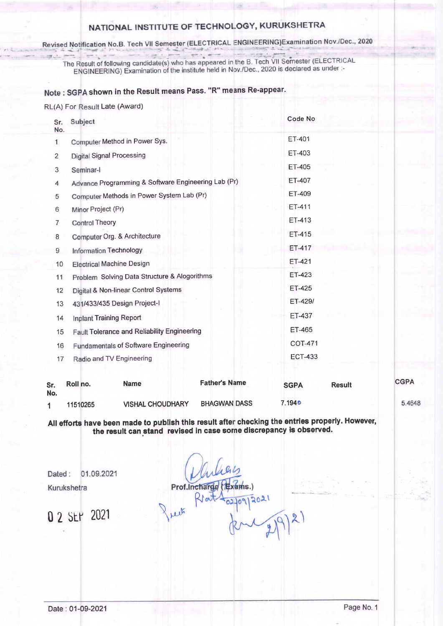### NATIONAL INSTITUTE OF TECHNOLOGY, KURUKSHETRA

Revised Notification No.B. Tech VII Semester (ELECTRICAL ENGINEERING)Examination Nov./Dec., 2020

The Result of following candidate(s) who has appeared in the B. Tech VII Semester (ELECTRICAL e Result of following candidate(s) who has appeared in the B. Tech VII Semester (EEEO This<br>ENGINEERING) Examination of the institute held in Nov./Dec., 2020 is declared as under :-

### Note : SGPA shown in the Result means Pass. "R" means Re-appear.

RL(A) For Result Late (Award)

| Sr.<br>No.       | Subject                                             | Code No        |
|------------------|-----------------------------------------------------|----------------|
| 1                | Computer Method in Power Sys.                       | ET-401         |
| $\overline{2}$   | <b>Digital Signal Processing</b>                    | ET-403         |
| 3                | Seminar-I                                           | ET-405         |
| 4                | Advance Programming & Software Engineering Lab (Pr) | ET-407         |
| 5                | Computer Methods in Power System Lab (Pr)           | ET-409         |
| 6                | Minor Project (Pr)                                  | ET-411         |
| 7                | <b>Control Theory</b>                               | ET-413         |
| $\boldsymbol{8}$ | Computer Org. & Architecture                        | ET-415         |
| 9                | Information Technology                              | ET-417         |
| 10               | <b>Electrical Machine Design</b>                    | ET-421         |
| 11               | Problem Solving Data Structure & Alogorithms        | ET-423         |
| 12               | Digital & Non-linear Control Systems                | <b>ET-425</b>  |
| 13               | 431/433/435 Design Project-I                        | ET-429/        |
| 14               | Inplant Training Report                             | ET-437         |
| 15               | Fault Tolerance and Reliability Engineering         | ET-465         |
| 16               | <b>Fundamentals of Software Engineering</b>         | <b>COT-471</b> |
| 17               | Radio and TV Engineering                            | <b>ECT-433</b> |
|                  |                                                     |                |

| Sr.<br>No. | Roll no. | Name                    | <b>Father's Name</b> | <b>SGPA</b>   | <b>Result</b> | <b>CGPA</b> |
|------------|----------|-------------------------|----------------------|---------------|---------------|-------------|
|            | 11510265 | <b>VISHAL CHOUDHARY</b> | <b>BHAGWAN DASS</b>  | <b>7.1940</b> |               | 5.4648      |

All efforts have been made to publish this result after checking the entries properly. However the result can stand revised in case some discrepancy is observed.

01.09.2021 Dated: Kurukshetra

0 2 SEM 2021

Prof.Incharge (Exams.) 0912021 rech